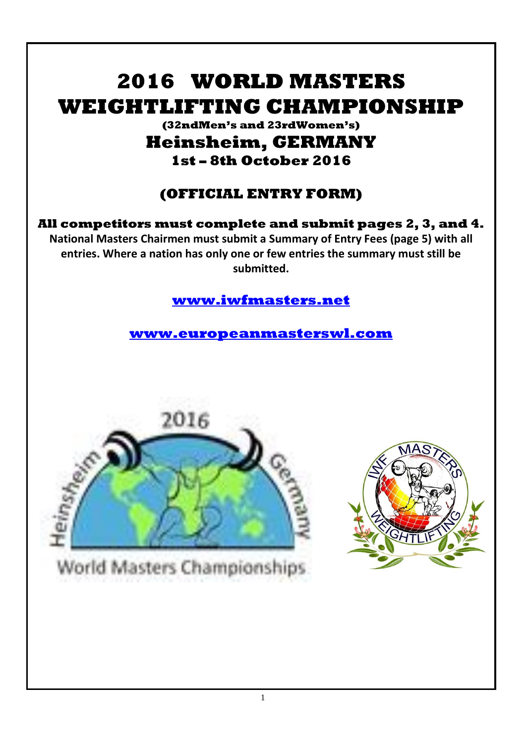# **2016 WORLD MASTERS WEIGHTLIFTING CHAMPIONSHIP**

### **(32ndMen's and 23rdWomen's) Heinsheim, GERMANY 1st – 8th October 2016**

## **(OFFICIAL ENTRY FORM)**

**All competitors must complete and submit pages 2, 3, and 4. National Masters Chairmen must submit a Summary of Entry Fees (page 5) with all entries. Where a nation has only one or few entries the summary must still be submitted.**

### **[www.iwfmasters.net](http://www.iwfmasters.net/)**

**[www.europeanmasterswl.com](http://www.europeanmasterswl.com/)**



World Masters Championships

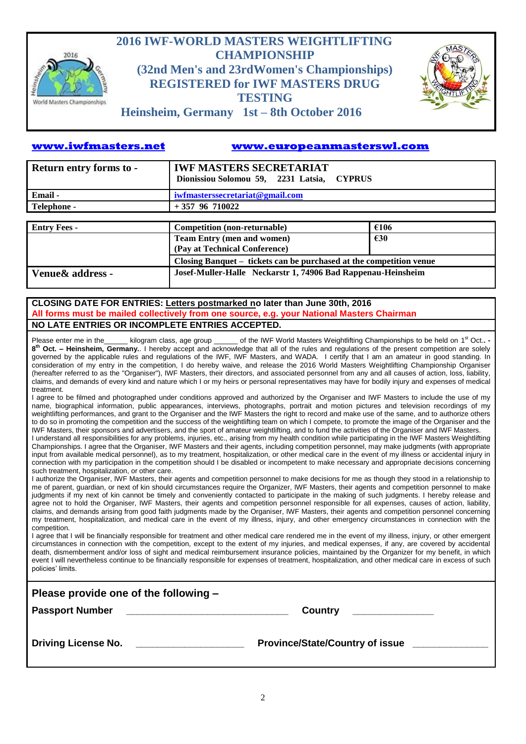

### **2016 IWF-WORLD MASTERS WEIGHTLIFTING CHAMPIONSHIP (32nd Men's and 23rdWomen's Championships) REGISTERED for IWF MASTERS DRUG TESTING**



**Heinsheim, Germany 1st – 8th October 2016**

#### **[www.iwfmasters.net](http://www.iwfmasters.net/) [www.europeanmasterswl.com](http://www.europeanmasterswl.com/)**

| Return entry forms to - | <b>IWF MASTERS SECRETARIAT</b><br>Dionissiou Solomou 59, 2231 Latsia, CYPRUS        |  |  |  |  |  |
|-------------------------|-------------------------------------------------------------------------------------|--|--|--|--|--|
| Email -                 | iwfmasterssecretariat@gmail.com                                                     |  |  |  |  |  |
| Telephone -             | $+357$ 96 710022                                                                    |  |  |  |  |  |
|                         |                                                                                     |  |  |  |  |  |
| <b>Entry Fees -</b>     | €106<br><b>Competition (non-returnable)</b>                                         |  |  |  |  |  |
|                         | <b>Team Entry (men and women)</b><br>$\epsilon$ 30<br>(Pay at Technical Conference) |  |  |  |  |  |
|                         | Closing Banquet – tickets can be purchased at the competition venue                 |  |  |  |  |  |
| Venue & address -       | Josef-Muller-Halle Neckarstr 1, 74906 Bad Rappenau-Heinsheim                        |  |  |  |  |  |

#### **CLOSING DATE FOR ENTRIES: Letters postmarked no later than June 30th, 2016 All forms must be mailed collectively from one source, e.g. your National Masters Chairman NO LATE ENTRIES OR INCOMPLETE ENTRIES ACCEPTED.**

Please enter me in the \_\_\_\_\_\_ kilogram class, age group \_\_\_\_\_\_ of the IWF World Masters Weightlifting Championships to be held on 1<sup>st</sup> Oct.. **-8 th Oct. – Heinsheim, Germany.**. I hereby accept and acknowledge that all of the rules and regulations of the present competition are solely governed by the applicable rules and regulations of the IWF, IWF Masters, and WADA. I certify that I am an amateur in good standing. In consideration of my entry in the competition, I do hereby waive, and release the 2016 World Masters Weightlifting Championship Organiser (hereafter referred to as the "Organiser"), IWF Masters, their directors, and associated personnel from any and all causes of action, loss, liability, claims, and demands of every kind and nature which I or my heirs or personal representatives may have for bodily injury and expenses of medical treatment.

I agree to be filmed and photographed under conditions approved and authorized by the Organiser and IWF Masters to include the use of my name, biographical information, public appearances, interviews, photographs, portrait and motion pictures and television recordings of my weightlifting performances, and grant to the Organiser and the IWF Masters the right to record and make use of the same, and to authorize others to do so in promoting the competition and the success of the weightlifting team on which I compete, to promote the image of the Organiser and the IWF Masters, their sponsors and advertisers, and the sport of amateur weightlifting, and to fund the activities of the Organiser and IWF Masters.

I understand all responsibilities for any problems, injuries, etc., arising from my health condition while participating in the IWF Masters Weightlifting Championships. I agree that the Organiser, IWF Masters and their agents, including competition personnel, may make judgments (with appropriate input from available medical personnel), as to my treatment, hospitalization, or other medical care in the event of my illness or accidental injury in connection with my participation in the competition should I be disabled or incompetent to make necessary and appropriate decisions concerning such treatment, hospitalization, or other care.

I authorize the Organiser, IWF Masters, their agents and competition personnel to make decisions for me as though they stood in a relationship to me of parent, guardian, or next of kin should circumstances require the Organizer, IWF Masters, their agents and competition personnel to make judgments if my next of kin cannot be timely and conveniently contacted to participate in the making of such judgments. I hereby release and agree not to hold the Organiser, IWF Masters, their agents and competition personnel responsible for all expenses, causes of action, liability, claims, and demands arising from good faith judgments made by the Organiser, IWF Masters, their agents and competition personnel concerning my treatment, hospitalization, and medical care in the event of my illness, injury, and other emergency circumstances in connection with the competition.

I agree that I will be financially responsible for treatment and other medical care rendered me in the event of my illness, injury, or other emergent circumstances in connection with the competition, except to the extent of my injuries, and medical expenses, if any, are covered by accidental death, dismemberment and/or loss of sight and medical reimbursement insurance policies, maintained by the Organizer for my benefit, in which event I will nevertheless continue to be financially responsible for expenses of treatment, hospitalization, and other medical care in excess of such policies' limits.

| Please provide one of the following -                             |                                        |  |  |  |  |
|-------------------------------------------------------------------|----------------------------------------|--|--|--|--|
| <b>Passport Number</b>                                            | <b>Country</b>                         |  |  |  |  |
| <b>Driving License No.</b><br>the contract of the contract of the | <b>Province/State/Country of issue</b> |  |  |  |  |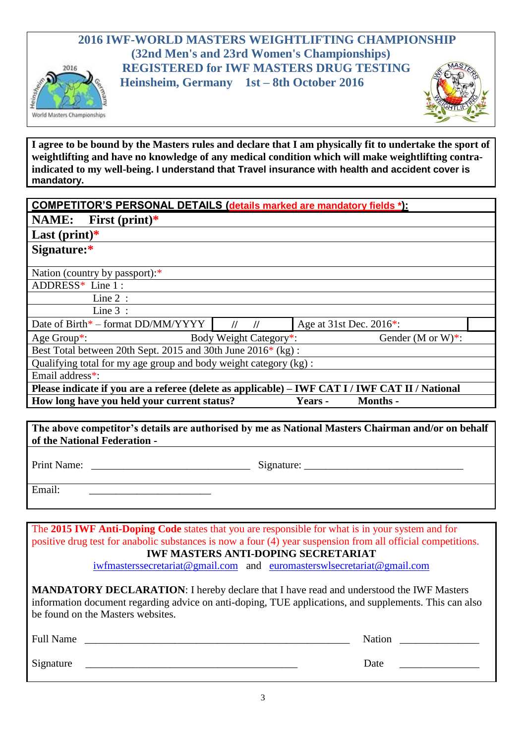



**I agree to be bound by the Masters rules and declare that I am physically fit to undertake the sport of weightlifting and have no knowledge of any medical condition which will make weightlifting contraindicated to my well-being. I understand that Travel insurance with health and accident cover is mandatory.**

| <b>COMPETITOR'S PERSONAL DETAILS (details marked are mandatory fields *):</b> |
|-------------------------------------------------------------------------------|
|-------------------------------------------------------------------------------|

| <b>NAME:</b><br>First $(print)*$ |  |  |
|----------------------------------|--|--|
|----------------------------------|--|--|

**Last (print)\***

World Masters Championships

| Signature:* |  |
|-------------|--|
|-------------|--|

Nation (country by passport):\*

ADDRESS\* Line 1 :

 $\overline{\text{Line 2}}$ :

Line 3 :

Date of Birth<sup>\*</sup> – format DD/MM/YYYY **//////////////** Age at 31st Dec. 2016<sup>\*</sup>: Age Group\*: Body Weight Category\*: Gender (M or W)\*:

Best Total between 20th Sept. 2015 and 30th June 2016\* (kg) :

Qualifying total for my age group and body weight category  $(kg)$ :

Email address\*:

**Please indicate if you are a referee (delete as applicable) – IWF CAT I / IWF CAT II / National How long have you held your current status? Years - Months -**

**The above competitor's details are authorised by me as National Masters Chairman and/or on behalf of the National Federation -**

Print Name: \_\_\_\_\_\_\_\_\_\_\_\_\_\_\_\_\_\_\_\_\_\_\_\_\_\_\_\_\_\_ Signature: \_\_\_\_\_\_\_\_\_\_\_\_\_\_\_\_\_\_\_\_\_\_\_\_\_\_\_\_\_\_

Email:

The **2015 IWF Anti-Doping Code** states that you are responsible for what is in your system and for positive drug test for anabolic substances is now a four (4) year suspension from all official competitions. **IWF MASTERS ANTI-DOPING SECRETARIAT**

[iwfmasterssecretariat@gmail.com](mailto:iwfmasterssecretariat@gmail.com) and [euromasterswlsecretariat@gmail.com](mailto:euromasterswlsecretariat@gmail.com)

**MANDATORY DECLARATION**: I hereby declare that I have read and understood the IWF Masters information document regarding advice on anti-doping, TUE applications, and supplements. This can also be found on the Masters websites.

| <b>Full Name</b> | Nation |
|------------------|--------|
| Signature        | Date   |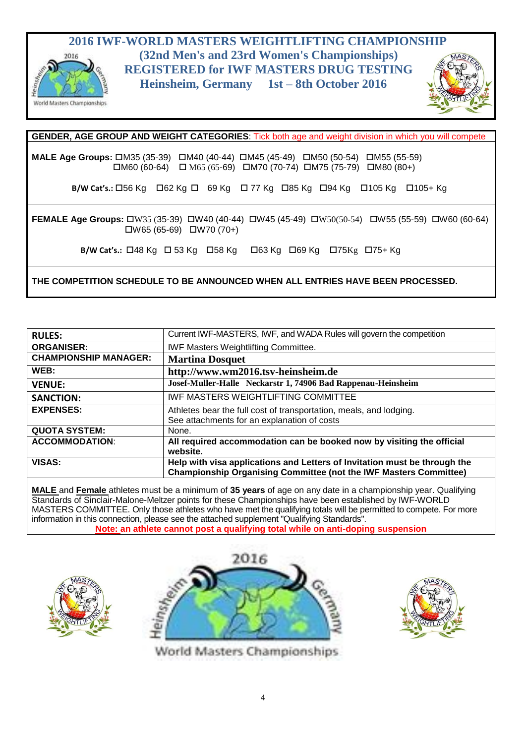



**GENDER, AGE GROUP AND WEIGHT CATEGORIES**: Tick both age and weight division in which you will compete **MALE Age Groups:** □M35 (35-39) □M40 (40-44) □M45 (45-49) □M50 (50-54) □M55 (55-59)  $\Box$ M60 (60-64)  $\Box$  M65 (65-69)  $\Box$ M70 (70-74)  $\Box$ M75 (75-79)  $\Box$ M80 (80+) **B/W Cat's.:**  $\Box$ 56 Kg  $\Box$  62 Kg  $\Box$  69 Kg  $\Box$  77 Kg  $\Box$ 85 Kg  $\Box$ 94 Kg  $\Box$ 105 Kg  $\Box$ 105 + Kg **FEMALE Age Groups:** □W35 (35-39) □W40 (40-44) □W45 (45-49) □W50(50-54) □W55 (55-59) □W60 (60-64)  $\Box$ W65 (65-69)  $\Box$ W70 (70+) **B/W Cat's.:**  $\Box$ 48 Kg  $\Box$  53 Kg  $\Box$ 58 Kg  $\Box$ 63 Kg  $\Box$ 69 Kg  $\Box$ 75 Kg 648 Kg 648 Kg 648 Kg **THE COMPETITION SCHEDULE TO BE ANNOUNCED WHEN ALL ENTRIES HAVE BEEN PROCESSED.**

| <b>RULES:</b>                | Current IWF-MASTERS, IWF, and WADA Rules will govern the competition                                                                                  |
|------------------------------|-------------------------------------------------------------------------------------------------------------------------------------------------------|
| <b>ORGANISER:</b>            | <b>IWF Masters Weightlifting Committee.</b>                                                                                                           |
| <b>CHAMPIONSHIP MANAGER:</b> | <b>Martina Dosquet</b>                                                                                                                                |
| WEB:                         | http://www.wm2016.tsv-heinsheim.de                                                                                                                    |
| <b>VENUE:</b>                | Josef-Muller-Halle Neckarstr 1, 74906 Bad Rappenau-Heinsheim                                                                                          |
| <b>SANCTION:</b>             | <b>IWF MASTERS WEIGHTLIFTING COMMITTEE</b>                                                                                                            |
| <b>EXPENSES:</b>             | Athletes bear the full cost of transportation, meals, and lodging.                                                                                    |
|                              | See attachments for an explanation of costs                                                                                                           |
| <b>QUOTA SYSTEM:</b>         | None.                                                                                                                                                 |
| <b>ACCOMMODATION:</b>        | All required accommodation can be booked now by visiting the official<br>website.                                                                     |
| <b>VISAS:</b>                | Help with visa applications and Letters of Invitation must be through the<br><b>Championship Organising Committee (not the IWF Masters Committee)</b> |

**MALE** and **Female** athletes must be a minimum of **35 years** of age on any date in a championship year. Qualifying Standards of Sinclair-Malone-Meltzer points for these Championships have been established by IWF-WORLD MASTERS COMMITTEE. Only those athletes who have met the qualifying totals will be permitted to compete. For more information in this connection, please see the attached supplement "Qualifying Standards". **Note: an athlete cannot post a qualifying total while on anti-doping suspension**







World Masters Championships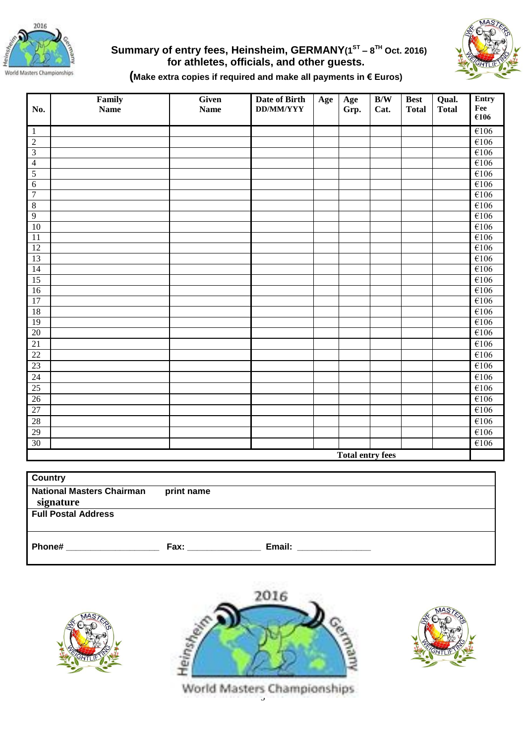

#### **Summary of entry fees, Heinsheim, GERMANY(1 ST – 8 TH Oct. 2016) for athletes, officials, and other guests.**



#### **(Make extra copies if required and make all payments in € Euros)**

| No.                     | Family<br>Name | Given<br><b>Name</b> | Date of Birth<br><b>DD/MM/YYY</b> | Age | $\bold{Age}$<br>Grp. | B/W<br>Cat. | <b>Best</b><br><b>Total</b> | Qual.<br><b>Total</b> | Entry<br>Fee              |
|-------------------------|----------------|----------------------|-----------------------------------|-----|----------------------|-------------|-----------------------------|-----------------------|---------------------------|
|                         |                |                      |                                   |     |                      |             |                             |                       | €106                      |
| $\,1\,$                 |                |                      |                                   |     |                      |             |                             |                       | $\overline{\epsilon}$ 106 |
| $\overline{2}$          |                |                      |                                   |     |                      |             |                             |                       | €106                      |
| $\overline{3}$          |                |                      |                                   |     |                      |             |                             |                       | $\overline{\epsilon}$ 106 |
| $\overline{4}$          |                |                      |                                   |     |                      |             |                             |                       | €106                      |
| $\overline{5}$          |                |                      |                                   |     |                      |             |                             |                       | €106                      |
| $\overline{6}$          |                |                      |                                   |     |                      |             |                             |                       | E106                      |
| $\overline{7}$          |                |                      |                                   |     |                      |             |                             |                       | $\overline{\epsilon}$ 106 |
| $\sqrt{8}$              |                |                      |                                   |     |                      |             |                             |                       | E106                      |
| $\overline{9}$          |                |                      |                                   |     |                      |             |                             |                       | E106                      |
| 10                      |                |                      |                                   |     |                      |             |                             |                       | $\overline{\epsilon}$ 106 |
| 11                      |                |                      |                                   |     |                      |             |                             |                       | E106                      |
| 12                      |                |                      |                                   |     |                      |             |                             |                       | €106                      |
| $\overline{13}$         |                |                      |                                   |     |                      |             |                             |                       | €106                      |
| 14                      |                |                      |                                   |     |                      |             |                             |                       | €106                      |
| 15                      |                |                      |                                   |     |                      |             |                             |                       | $\overline{\epsilon}$ 106 |
| 16                      |                |                      |                                   |     |                      |             |                             |                       | $\overline{\epsilon}$ 106 |
| $\overline{17}$         |                |                      |                                   |     |                      |             |                             |                       | E106                      |
| $\overline{18}$         |                |                      |                                   |     |                      |             |                             |                       | E106                      |
| 19                      |                |                      |                                   |     |                      |             |                             |                       | €106                      |
| 20                      |                |                      |                                   |     |                      |             |                             |                       | $\overline{\epsilon}$ 106 |
| 21                      |                |                      |                                   |     |                      |             |                             |                       | $\overline{\epsilon}$ 106 |
| 22                      |                |                      |                                   |     |                      |             |                             |                       | €106                      |
| 23                      |                |                      |                                   |     |                      |             |                             |                       | $\overline{\epsilon}$ 106 |
| $\overline{24}$         |                |                      |                                   |     |                      |             |                             |                       | €106                      |
| 25                      |                |                      |                                   |     |                      |             |                             |                       | €106                      |
| 26                      |                |                      |                                   |     |                      |             |                             |                       | €106                      |
| 27                      |                |                      |                                   |     |                      |             |                             |                       | $\overline{\epsilon}$ 106 |
| 28                      |                |                      |                                   |     |                      |             |                             |                       | E106                      |
| 29                      |                |                      |                                   |     |                      |             |                             |                       | €106                      |
| 30                      |                |                      |                                   |     |                      |             |                             |                       | $\overline{\epsilon}$ 106 |
| <b>Total entry fees</b> |                |                      |                                   |     |                      |             |                             |                       |                           |

| <b>Country</b>                   |            |        |
|----------------------------------|------------|--------|
| <b>National Masters Chairman</b> | print name |        |
| signature                        |            |        |
| <b>Full Postal Address</b>       |            |        |
|                                  |            |        |
|                                  |            |        |
| Phone#                           | Fax:       | Email: |
|                                  |            |        |





World Masters Championships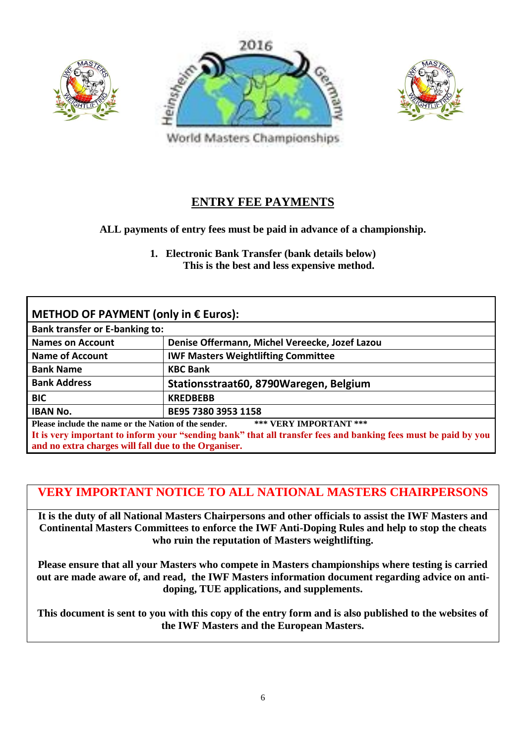





World Masters Championships

### **ENTRY FEE PAYMENTS**

#### **ALL payments of entry fees must be paid in advance of a championship.**

**1. Electronic Bank Transfer (bank details below) This is the best and less expensive method.**

| METHOD OF PAYMENT (only in € Euros):                                                                           |                                                |  |  |  |  |
|----------------------------------------------------------------------------------------------------------------|------------------------------------------------|--|--|--|--|
| <b>Bank transfer or E-banking to:</b>                                                                          |                                                |  |  |  |  |
| <b>Names on Account</b>                                                                                        | Denise Offermann, Michel Vereecke, Jozef Lazou |  |  |  |  |
| <b>Name of Account</b>                                                                                         | <b>IWF Masters Weightlifting Committee</b>     |  |  |  |  |
| <b>Bank Name</b><br><b>KBC Bank</b>                                                                            |                                                |  |  |  |  |
| <b>Bank Address</b><br>Stationsstraat60, 8790Waregen, Belgium                                                  |                                                |  |  |  |  |
| <b>BIC</b><br><b>KREDBEBB</b>                                                                                  |                                                |  |  |  |  |
| <b>IBAN No.</b><br>BE95 7380 3953 1158                                                                         |                                                |  |  |  |  |
| Please include the name or the Nation of the sender.<br>*** VERY IMPORTANT ***                                 |                                                |  |  |  |  |
| It is very important to inform your "sending bank" that all transfer fees and banking fees must be paid by you |                                                |  |  |  |  |
| and no extra charges will fall due to the Organiser.                                                           |                                                |  |  |  |  |

### **VERY IMPORTANT NOTICE TO ALL NATIONAL MASTERS CHAIRPERSONS**

**It is the duty of all National Masters Chairpersons and other officials to assist the IWF Masters and Continental Masters Committees to enforce the IWF Anti-Doping Rules and help to stop the cheats who ruin the reputation of Masters weightlifting.**

**Please ensure that all your Masters who compete in Masters championships where testing is carried out are made aware of, and read, the IWF Masters information document regarding advice on antidoping, TUE applications, and supplements.**

**This document is sent to you with this copy of the entry form and is also published to the websites of the IWF Masters and the European Masters.**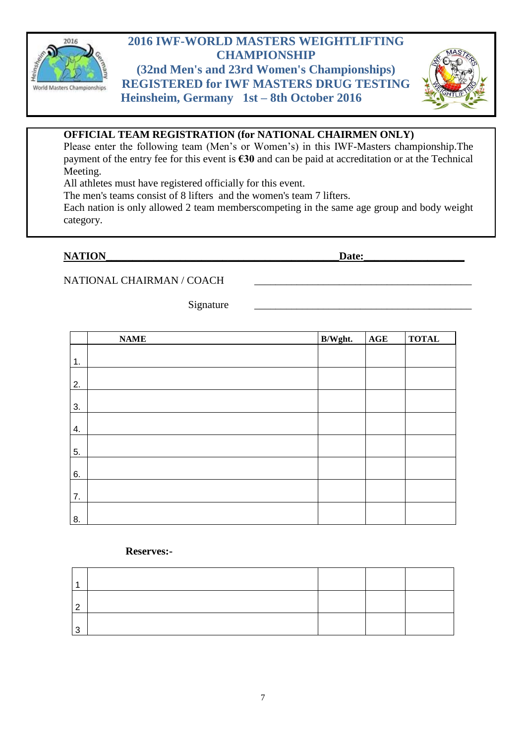

### **2016 IWF-WORLD MASTERS WEIGHTLIFTING CHAMPIONSHIP**

**(32nd Men's and 23rd Women's Championships) REGISTERED for IWF MASTERS DRUG TESTING Heinsheim, Germany 1st – 8th October 2016**



#### **OFFICIAL TEAM REGISTRATION (for NATIONAL CHAIRMEN ONLY)**

Please enter the following team (Men's or Women's) in this IWF-Masters championship.The payment of the entry fee for this event is **€30** and can be paid at accreditation or at the Technical Meeting.

All athletes must have registered officially for this event.

The men's teams consist of 8 lifters and the women's team 7 lifters.

Each nation is only allowed 2 team memberscompeting in the same age group and body weight category.

#### **NATION** Date:

#### NATIONAL CHAIRMAN / COACH

Signature

|                | <b>NAME</b> | B/Wght. | $\mathbf{AGE}$ | <b>TOTAL</b> |
|----------------|-------------|---------|----------------|--------------|
| $\mathbf{1}$ . |             |         |                |              |
|                |             |         |                |              |
| 2.             |             |         |                |              |
| 3.             |             |         |                |              |
| 4.             |             |         |                |              |
| 5.             |             |         |                |              |
| 6.             |             |         |                |              |
| 7.             |             |         |                |              |
| 8.             |             |         |                |              |

#### **Reserves:-**

| c |  |  |
|---|--|--|
|   |  |  |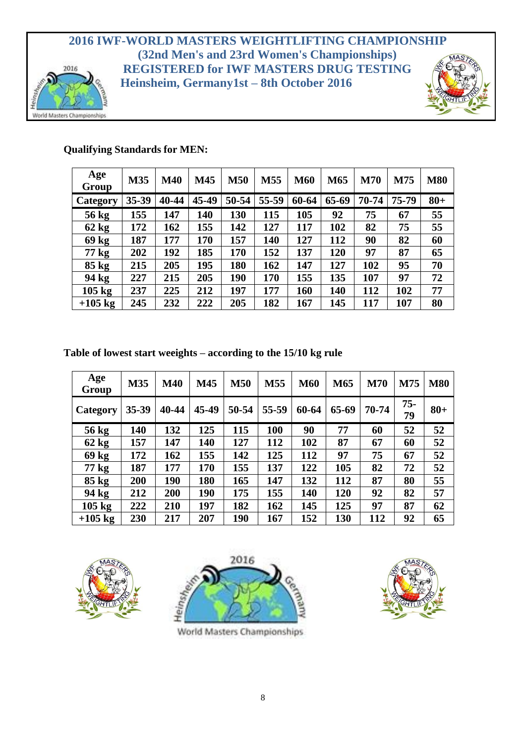#### **2016 IWF-WORLD MASTERS WEIGHTLIFTING CHAMPIONSHIP (32nd Men's and 23rd Women's Championships) REGISTERED for IWF MASTERS DRUG TESTING** 2016 **Heinsheim, Germany1st – 8th October 2016**



#### **Qualifying Standards for MEN:**

World Masters Championships

| Age<br>Group     | M35   | <b>M40</b> | M45   | <b>M50</b> | M55   | <b>M60</b> | M65   | <b>M70</b> | M75   | <b>M80</b> |
|------------------|-------|------------|-------|------------|-------|------------|-------|------------|-------|------------|
| Category         | 35-39 | 40-44      | 45-49 | 50-54      | 55-59 | 60-64      | 65-69 | 70-74      | 75-79 | $80 +$     |
| 56 kg            | 155   | 147        | 140   | 130        | 115   | 105        | 92    | 75         | 67    | 55         |
| 62 kg            | 172   | 162        | 155   | 142        | 127   | 117        | 102   | 82         | 75    | 55         |
| 69 kg            | 187   | 177        | 170   | 157        | 140   | 127        | 112   | 90         | 82    | 60         |
| 77 kg            | 202   | 192        | 185   | 170        | 152   | 137        | 120   | 97         | 87    | 65         |
| $85 \text{ kg}$  | 215   | 205        | 195   | 180        | 162   | 147        | 127   | 102        | 95    | 70         |
| 94 kg            | 227   | 215        | 205   | 190        | 170   | 155        | 135   | 107        | 97    | 72         |
| $105 \text{ kg}$ | 237   | 225        | 212   | 197        | 177   | 160        | 140   | 112        | 102   | 77         |
| $+105$ kg        | 245   | 232        | 222   | 205        | 182   | 167        | 145   | 117        | 107   | 80         |

#### **Table of lowest start weeights – according to the 15/10 kg rule**

| Age<br>Group     | M35       | <b>M40</b> | M45   | <b>M50</b> | M55   | <b>M60</b> | M65   | <b>M70</b> | M75          | <b>M80</b> |
|------------------|-----------|------------|-------|------------|-------|------------|-------|------------|--------------|------------|
| Category         | $35 - 39$ | 40-44      | 45-49 | 50-54      | 55-59 | 60-64      | 65-69 | 70-74      | $75 -$<br>79 | $80 +$     |
| 56 kg            | 140       | 132        | 125   | 115        | 100   | 90         | 77    | 60         | 52           | 52         |
| 62 kg            | 157       | 147        | 140   | 127        | 112   | 102        | 87    | 67         | 60           | 52         |
| 69 kg            | 172       | 162        | 155   | 142        | 125   | 112        | 97    | 75         | 67           | 52         |
| 77 kg            | 187       | 177        | 170   | 155        | 137   | 122        | 105   | 82         | 72           | 52         |
| $85 \text{ kg}$  | 200       | 190        | 180   | 165        | 147   | 132        | 112   | 87         | 80           | 55         |
| 94 kg            | 212       | 200        | 190   | 175        | 155   | 140        | 120   | 92         | 82           | 57         |
| $105 \text{ kg}$ | 222       | 210        | 197   | 182        | 162   | 145        | 125   | 97         | 87           | 62         |
| $+105$ kg        | 230       | 217        | 207   | 190        | 167   | 152        | 130   | 112        | 92           | 65         |





World Masters Championships

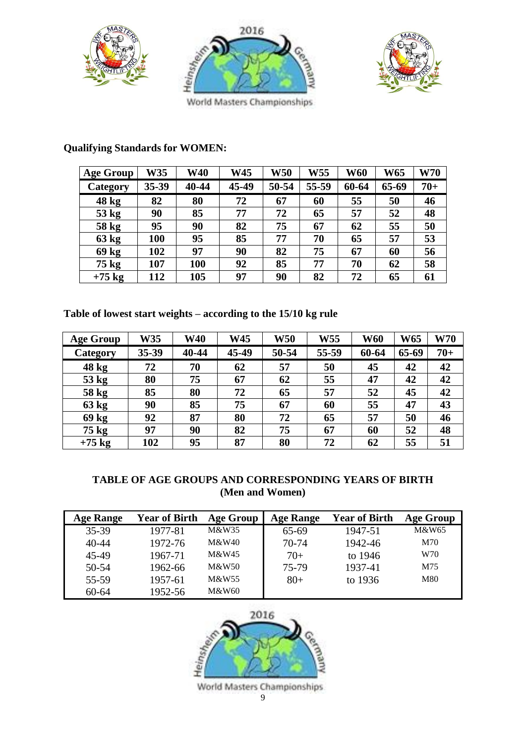





World Masters Championships

| <b>Age Group</b> | <b>W35</b> | <b>W40</b> | W45   | <b>W50</b> | W55   | <b>W60</b> | <b>W65</b> | <b>W70</b> |
|------------------|------------|------------|-------|------------|-------|------------|------------|------------|
| Category         | 35-39      | 40-44      | 45-49 | 50-54      | 55-59 | 60-64      | 65-69      | $70+$      |
| 48 kg            | 82         | 80         | 72    | 67         | 60    | 55         | 50         | 46         |
| 53 kg            | 90         | 85         | 77    | 72         | 65    | 57         | 52         | 48         |
| 58 kg            | 95         | 90         | 82    | 75         | 67    | 62         | 55         | 50         |
| 63 kg            | 100        | 95         | 85    | 77         | 70    | 65         | 57         | 53         |
| 69 kg            | 102        | 97         | 90    | 82         | 75    | 67         | 60         | 56         |
| $75 \text{ kg}$  | 107        | 100        | 92    | 85         | 77    | 70         | 62         | 58         |
| $+75$ kg         | 112        | 105        | 97    | 90         | 82    | 72         | 65         | 61         |

### **Qualifying Standards for WOMEN:**

**Table of lowest start weights – according to the 15/10 kg rule**

| <b>Age Group</b> | W35   | <b>W40</b> | <b>W45</b> | W50   | W55   | <b>W60</b> | <b>W65</b> | <b>W70</b> |
|------------------|-------|------------|------------|-------|-------|------------|------------|------------|
| Category         | 35-39 | 40-44      | 45-49      | 50-54 | 55-59 | 60-64      | 65-69      | $70+$      |
| $48$ kg          | 72    | 70         | 62         | 57    | 50    | 45         | 42         | 42         |
| $53$ kg          | 80    | 75         | 67         | 62    | 55    | 47         | 42         | 42         |
| 58 kg            | 85    | 80         | 72         | 65    | 57    | 52         | 45         | 42         |
| 63 kg            | 90    | 85         | 75         | 67    | 60    | 55         | 47         | 43         |
| 69 <sub>kg</sub> | 92    | 87         | 80         | 72    | 65    | 57         | 50         | 46         |
| $75$ kg          | 97    | 90         | 82         | 75    | 67    | 60         | 52         | 48         |
| $+75$ kg         | 102   | 95         | 87         | 80    | 72    | 62         | 55         | 51         |

#### **TABLE OF AGE GROUPS AND CORRESPONDING YEARS OF BIRTH (Men and Women)**

| <b>Age Range</b> | <b>Year of Birth</b> | <b>Age Group</b> | <b>Age Range</b> | <b>Year of Birth</b> | <b>Age Group</b> |
|------------------|----------------------|------------------|------------------|----------------------|------------------|
| 35-39            | 1977-81              | M&W35            | 65-69            | 1947-51              | M&W65            |
| 40-44            | 1972-76              | M&W40            | 70-74            | 1942-46              | M70              |
| 45-49            | 1967-71              | M&W45            | $70+$            | to $1946$            | W70              |
| 50-54            | 1962-66              | M&W50            | 75-79            | 1937-41              | M75              |
| 55-59            | 1957-61              | M&W55            | $80+$            | to 1936              | M80              |
| $60 - 64$        | 1952-56              | M&W60            |                  |                      |                  |

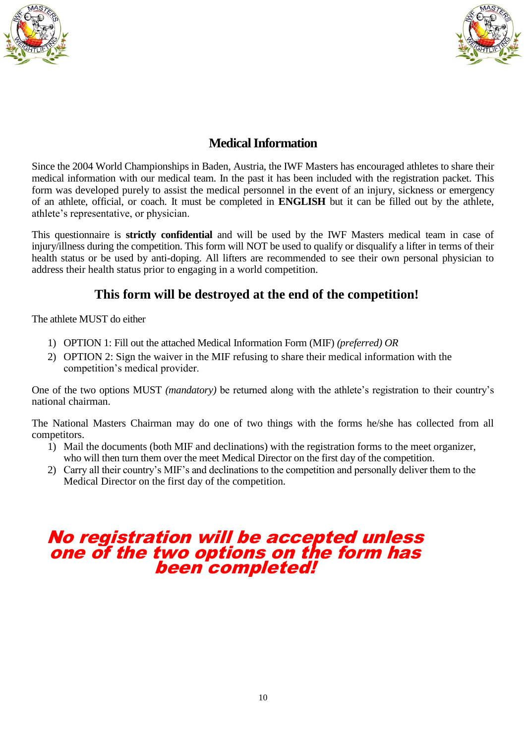



### **Medical Information**

Since the 2004 World Championships in Baden, Austria, the IWF Masters has encouraged athletes to share their medical information with our medical team. In the past it has been included with the registration packet. This form was developed purely to assist the medical personnel in the event of an injury, sickness or emergency of an athlete, official, or coach. It must be completed in **ENGLISH** but it can be filled out by the athlete, athlete's representative, or physician.

This questionnaire is **strictly confidential** and will be used by the IWF Masters medical team in case of injury/illness during the competition. This form will NOT be used to qualify or disqualify a lifter in terms of their health status or be used by anti-doping. All lifters are recommended to see their own personal physician to address their health status prior to engaging in a world competition.

### **This form will be destroyed at the end of the competition!**

The athlete MUST do either

- 1) OPTION 1: Fill out the attached Medical Information Form (MIF) *(preferred) OR*
- 2) OPTION 2: Sign the waiver in the MIF refusing to share their medical information with the competition's medical provider.

One of the two options MUST *(mandatory)* be returned along with the athlete's registration to their country's national chairman.

The National Masters Chairman may do one of two things with the forms he/she has collected from all competitors.

- 1) Mail the documents (both MIF and declinations) with the registration forms to the meet organizer, who will then turn them over the meet Medical Director on the first day of the competition.
- 2) Carry all their country's MIF's and declinations to the competition and personally deliver them to the Medical Director on the first day of the competition.

### No registration will be accepted unless one of the two options on the form has been completed!